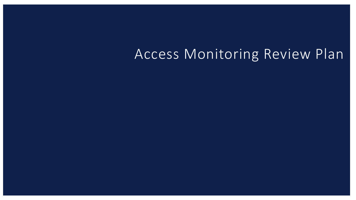## Access Monitoring Review Plan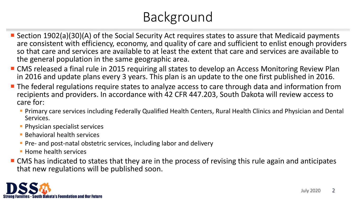## Background

- Section 1902(a)(30)(A) of the Social Security Act requires states to assure that Medicaid payments are consistent with efficiency, economy, and quality of care and sufficient to enlist enough providers so that care and services are available to at least the extent that care and services are available to the general population in the same geographic area.
- CMS released a final rule in 2015 requiring all states to develop an Access Monitoring Review Plan in 2016 and update plans every 3 years. This plan is an update to the one first published in 2016.
- **The federal regulations require states to analyze access to care through data and information from** recipients and providers. In accordance with 42 CFR 447.203, South Dakota will review access to care for:
	- Primary care services including Federally Qualified Health Centers, Rural Health Clinics and Physician and Dental Services.
	- **Physician specialist services**
	- **Behavioral health services**
	- **Pre- and post-natal obstetric services, including labor and delivery**
	- **Home health services**
- CMS has indicated to states that they are in the process of revising this rule again and anticipates that new regulations will be published soon.

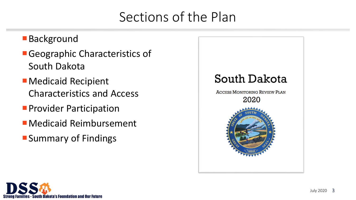## Sections of the Plan

#### ■Background

- Geographic Characteristics of South Dakota
- Medicaid Recipient Characteristics and Access
- **Provider Participation**
- Medicaid Reimbursement
- Summary of Findings



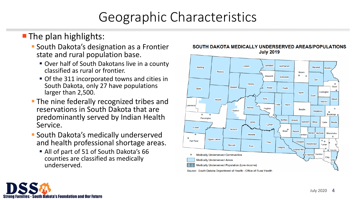## Geographic Characteristics

#### **The plan highlights:**

- **South Dakota's designation as a Frontier** state and rural population base.
	- Over half of South Dakotans live in a county classified as rural or frontier.
	- Of the 311 incorporated towns and cities in South Dakota, only 27 have populations larger than 2,500.
- **The nine federally recognized tribes and** reservations in South Dakota that are predominantly served by Indian Health Service.
- **South Dakota's medically underserved** and health professional shortage areas.
	- All of part of 51 of South Dakota's 66 counties are classified as medically underserved.



#### SOUTH DAKOTA MEDICALLY UNDERSERVED AREAS/POPULATIONS **July 2019**

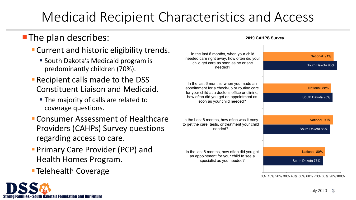## Medicaid Recipient Characteristics and Access

#### **The plan describes:**

- Current and historic eligibility trends.
	- **South Dakota's Medicaid program is** predominantly children (70%).
- **Recipient calls made to the DSS** Constituent Liaison and Medicaid.
	- The majority of calls are related to coverage questions.
- Consumer Assessment of Healthcare Providers (CAHPs) Survey questions regarding access to care.
- **Primary Care Provider (PCP) and** Health Homes Program.
- **Telehealth Coverage**



| In the last 6 months, when your child<br>needed care right away, how often did your<br>child get care as soon as he or she<br>needed?                                                                            | National 91%                                |
|------------------------------------------------------------------------------------------------------------------------------------------------------------------------------------------------------------------|---------------------------------------------|
|                                                                                                                                                                                                                  | South Dakota 95%                            |
|                                                                                                                                                                                                                  |                                             |
| In the last 6 months, when you made an<br>appoitnment for a check-up or routine care<br>for your child at a doctor's office or clininc,<br>how often did you get an appointment as<br>soon as your child needed? | National 88%                                |
|                                                                                                                                                                                                                  | South Dakota 90%                            |
|                                                                                                                                                                                                                  |                                             |
| In the Last 6 months, how often was it easy<br>to get the care, tests, or treatment your child<br>needed?                                                                                                        | National 90%                                |
|                                                                                                                                                                                                                  | South Dakota 86%                            |
|                                                                                                                                                                                                                  |                                             |
| In the last 6 months, how often did you get<br>an appointment for your child to see a<br>specialist as you needed?                                                                                               | <b>National 80%</b>                         |
|                                                                                                                                                                                                                  | South Dakota 77%                            |
|                                                                                                                                                                                                                  |                                             |
|                                                                                                                                                                                                                  | 0% 10% 20% 30% 40% 50% 60% 70% 80% 90% 100% |

**2019 CAHPS Survey**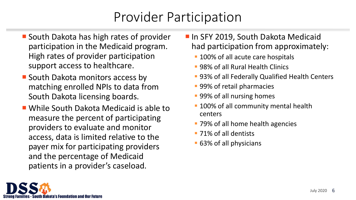## Provider Participation

- **South Dakota has high rates of provider** participation in the Medicaid program. High rates of provider participation support access to healthcare.
- **South Dakota monitors access by** matching enrolled NPIs to data from South Dakota licensing boards.
- While South Dakota Medicaid is able to measure the percent of participating providers to evaluate and monitor access, data is limited relative to the payer mix for participating providers and the percentage of Medicaid patients in a provider's caseload.
- **In SFY 2019, South Dakota Medicaid** had participation from approximately:
	- **100% of all acute care hospitals**
	- 98% of all Rural Health Clinics
	- **93% of all Federally Qualified Health Centers**
	- 99% of retail pharmacies
	- **99% of all nursing homes**
	- **100% of all community mental health** centers
	- **79% of all home health agencies**
	- 71% of all dentists
	- 63% of all physicians

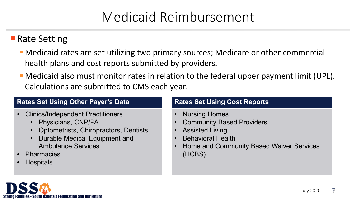## Medicaid Reimbursement

#### **Rate Setting**

- Medicaid rates are set utilizing two primary sources; Medicare or other commercial health plans and cost reports submitted by providers.
- Medicaid also must monitor rates in relation to the federal upper payment limit (UPL). Calculations are submitted to CMS each year.

#### **Rates Set Using Other Payer's Data Rates Set Using Cost Reports**

- Clinics/Independent Practitioners
	- Physicians, CNP/PA
	- Optometrists, Chiropractors, Dentists
	- Durable Medical Equipment and Ambulance Services
- Pharmacies
- Hospitals

- Nursing Homes
- **Community Based Providers**
- Assisted Living
- Behavioral Health
- Home and Community Based Waiver Services (HCBS)

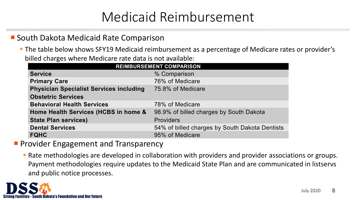## Medicaid Reimbursement

#### ■ South Dakota Medicaid Rate Comparison

**The table below shows SFY19 Medicaid reimbursement as a percentage of Medicare rates or provider's** billed charges where Medicare rate data is not available:

| <b>REIMBURSEMENT COMPARISON</b>                |                                                |
|------------------------------------------------|------------------------------------------------|
| <b>Service</b>                                 | % Comparison                                   |
| <b>Primary Care</b>                            | 76% of Medicare                                |
| <b>Physician Specialist Services including</b> | 75.8% of Medicare                              |
| <b>Obstetric Services</b>                      |                                                |
| <b>Behavioral Health Services</b>              | 78% of Medicare                                |
| Home Health Services (HCBS in home &           | 98.9% of billed charges by South Dakota        |
| <b>State Plan services)</b>                    | <b>Providers</b>                               |
| <b>Dental Services</b>                         | 54% of billed charges by South Dakota Dentists |
| <b>FQHC</b>                                    | 95% of Medicare                                |

**Provider Engagement and Transparency** 

 Rate methodologies are developed in collaboration with providers and provider associations or groups. Payment methodologies require updates to the Medicaid State Plan and are communicated in listservs and public notice processes.

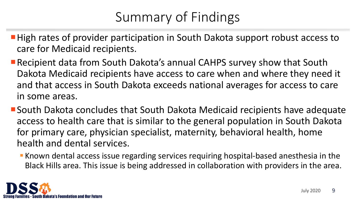# Summary of Findings

- High rates of provider participation in South Dakota support robust access to care for Medicaid recipients.
- Recipient data from South Dakota's annual CAHPS survey show that South Dakota Medicaid recipients have access to care when and where they need it and that access in South Dakota exceeds national averages for access to care in some areas.
- South Dakota concludes that South Dakota Medicaid recipients have adequate access to health care that is similar to the general population in South Dakota for primary care, physician specialist, maternity, behavioral health, home health and dental services.
	- **K** Known dental access issue regarding services requiring hospital-based anesthesia in the Black Hills area. This issue is being addressed in collaboration with providers in the area.